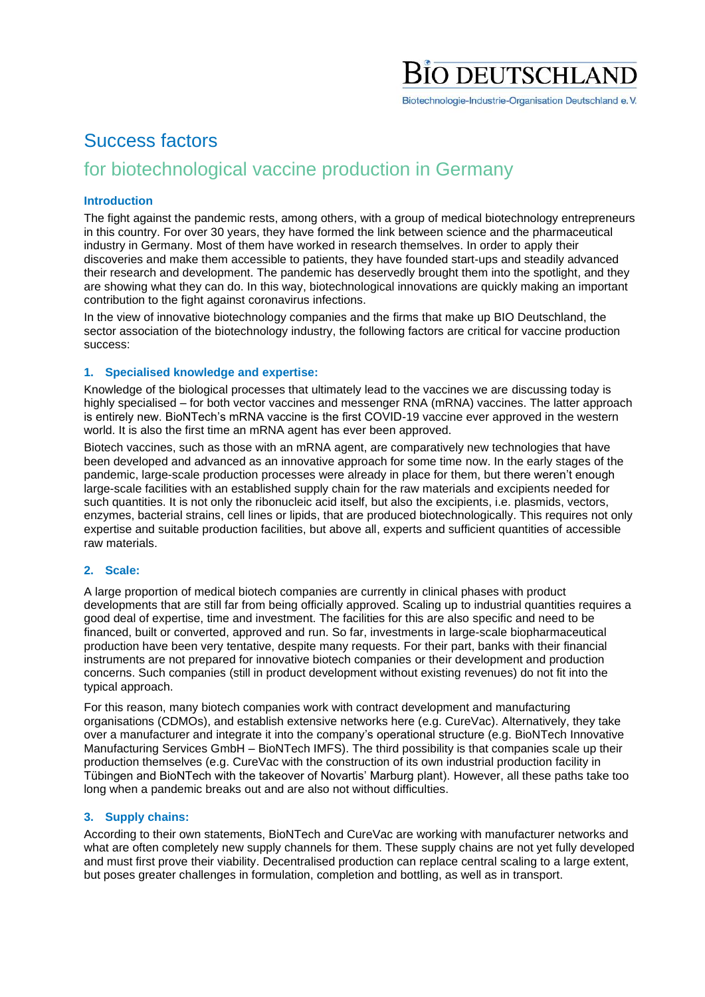# **DEUTSCHLA**

Biotechnologie-Industrie-Organisation Deutschland e.V.

### Success factors

### for biotechnological vaccine production in Germany

#### **Introduction**

The fight against the pandemic rests, among others, with a group of medical biotechnology entrepreneurs in this country. For over 30 years, they have formed the link between science and the pharmaceutical industry in Germany. Most of them have worked in research themselves. In order to apply their discoveries and make them accessible to patients, they have founded start-ups and steadily advanced their research and development. The pandemic has deservedly brought them into the spotlight, and they are showing what they can do. In this way, biotechnological innovations are quickly making an important contribution to the fight against coronavirus infections.

In the view of innovative biotechnology companies and the firms that make up BIO Deutschland, the sector association of the biotechnology industry, the following factors are critical for vaccine production success:

#### **1. Specialised knowledge and expertise:**

Knowledge of the biological processes that ultimately lead to the vaccines we are discussing today is highly specialised – for both vector vaccines and messenger RNA (mRNA) vaccines. The latter approach is entirely new. BioNTech's mRNA vaccine is the first COVID-19 vaccine ever approved in the western world. It is also the first time an mRNA agent has ever been approved.

Biotech vaccines, such as those with an mRNA agent, are comparatively new technologies that have been developed and advanced as an innovative approach for some time now. In the early stages of the pandemic, large-scale production processes were already in place for them, but there weren't enough large-scale facilities with an established supply chain for the raw materials and excipients needed for such quantities. It is not only the ribonucleic acid itself, but also the excipients, i.e. plasmids, vectors, enzymes, bacterial strains, cell lines or lipids, that are produced biotechnologically. This requires not only expertise and suitable production facilities, but above all, experts and sufficient quantities of accessible raw materials.

#### **2. Scale:**

A large proportion of medical biotech companies are currently in clinical phases with product developments that are still far from being officially approved. Scaling up to industrial quantities requires a good deal of expertise, time and investment. The facilities for this are also specific and need to be financed, built or converted, approved and run. So far, investments in large-scale biopharmaceutical production have been very tentative, despite many requests. For their part, banks with their financial instruments are not prepared for innovative biotech companies or their development and production concerns. Such companies (still in product development without existing revenues) do not fit into the typical approach.

For this reason, many biotech companies work with contract development and manufacturing organisations (CDMOs), and establish extensive networks here (e.g. CureVac). Alternatively, they take over a manufacturer and integrate it into the company's operational structure (e.g. BioNTech Innovative Manufacturing Services GmbH – BioNTech IMFS). The third possibility is that companies scale up their production themselves (e.g. CureVac with the construction of its own industrial production facility in Tübingen and BioNTech with the takeover of Novartis' Marburg plant). However, all these paths take too long when a pandemic breaks out and are also not without difficulties.

#### **3. Supply chains:**

According to their own statements, BioNTech and CureVac are working with manufacturer networks and what are often completely new supply channels for them. These supply chains are not yet fully developed and must first prove their viability. Decentralised production can replace central scaling to a large extent, but poses greater challenges in formulation, completion and bottling, as well as in transport.